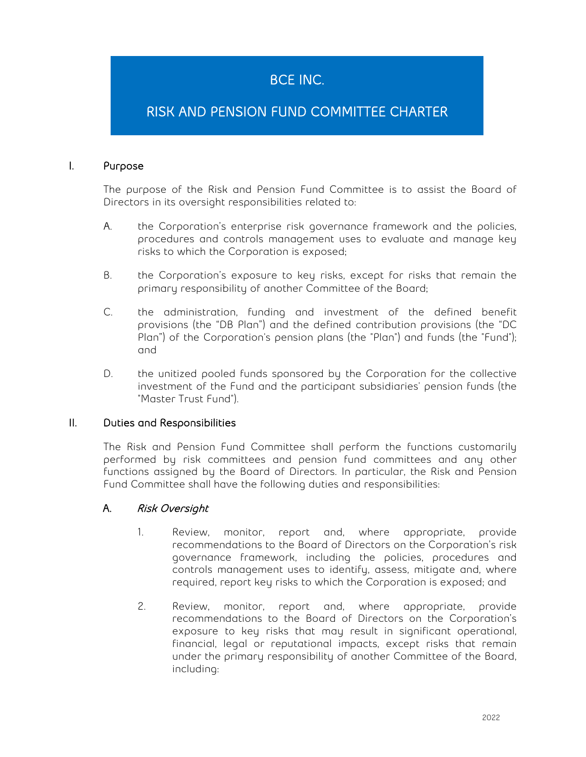# BCE INC.

## RISK AND PENSION FUND COMMITTEE CHARTER

#### I. Purpose

The purpose of the Risk and Pension Fund Committee is to assist the Board of Directors in its oversight responsibilities related to:

- **A.** the Corporation's enterprise risk governance framework and the policies, procedures and controls management uses to evaluate and manage key risks to which the Corporation is exposed**;**
- B. the Corporation's exposure to key risks, except for risks that remain the primary responsibility of another Committee of the Board**;**
- C. the administration, funding and investment of the defined benefit provisions (the "DB Plan") and the defined contribution provisions (the "DC Plan") of the Corporation's pension plans (the "Plan") and funds (the "Fund"); and
- D. the unitized pooled funds sponsored by the Corporation for the collective investment of the Fund and the participant subsidiaries' pension funds (the "Master Trust Fund").

#### II. Duties and Responsibilities

The Risk and Pension Fund Committee shall perform the functions customarily performed by risk committees and pension fund committees and any other functions assigned by the Board of Directors. In particular, the Risk and Pension Fund Committee shall have the following duties and responsibilities:

#### A. Risk Oversight

- 1. Review, monitor, report and, where appropriate, provide recommendations to the Board of Directors on the Corporation's risk governance framework, including the policies, procedures and controls management uses to identify, assess, mitigate and, where required, report key risks to which the Corporation is exposed; and
- 2. Review, monitor, report and, where appropriate, provide recommendations to the Board of Directors on the Corporation's exposure to key risks that may result in significant operational, financial, legal or reputational impacts, except risks that remain under the primary responsibility of another Committee of the Board, including: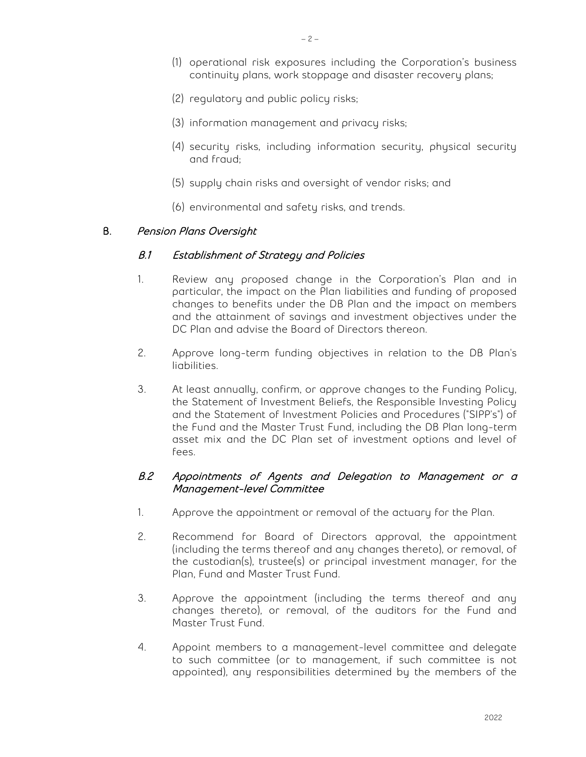- (1) operational risk exposures including the Corporation's business continuity plans, work stoppage and disaster recovery plans;
- (2) regulatory and public policy risks;
- (3) information management and privacy risks;
- (4) security risks, including information security, physical security and fraud;
- (5) supply chain risks and oversight of vendor risks; and
- (6) environmental and safety risks, and trends.

#### B. Pension Plans Oversight

#### B.1 Establishment of Strategy and Policies

- 1. Review any proposed change in the Corporation's Plan and in particular, the impact on the Plan liabilities and funding of proposed changes to benefits under the DB Plan and the impact on members and the attainment of savings and investment objectives under the DC Plan and advise the Board of Directors thereon.
- 2. Approve long-term funding objectives in relation to the DB Plan's liabilities.
- 3. At least annually, confirm, or approve changes to the Funding Policy, the Statement of Investment Beliefs, the Responsible Investing Policy and the Statement of Investment Policies and Procedures ("SIPP's") of the Fund and the Master Trust Fund, including the DB Plan long-term asset mix and the DC Plan set of investment options and level of fees.

#### B.2 Appointments of Agents and Delegation to Management or a Management-level Committee

- 1. Approve the appointment or removal of the actuary for the Plan.
- 2. Recommend for Board of Directors approval, the appointment (including the terms thereof and any changes thereto), or removal, of the custodian(s), trustee(s) or principal investment manager, for the Plan, Fund and Master Trust Fund.
- 3. Approve the appointment (including the terms thereof and any changes thereto), or removal, of the auditors for the Fund and Master Trust Fund.
- 4. Appoint members to a management-level committee and delegate to such committee (or to management, if such committee is not appointed), any responsibilities determined by the members of the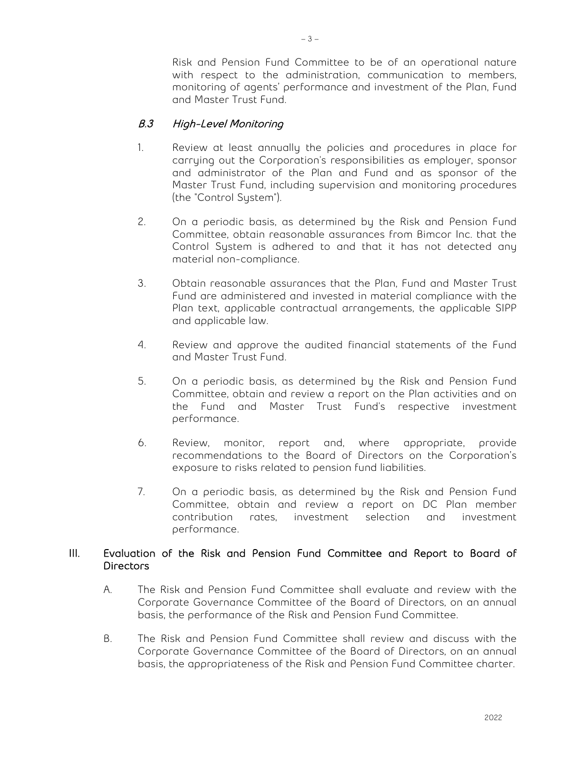Risk and Pension Fund Committee to be of an operational nature with respect to the administration, communication to members, monitoring of agents' performance and investment of the Plan, Fund and Master Trust Fund.

### B.3 High-Level Monitoring

- 1. Review at least annually the policies and procedures in place for carrying out the Corporation's responsibilities as employer, sponsor and administrator of the Plan and Fund and as sponsor of the Master Trust Fund, including supervision and monitoring procedures (the "Control System").
- 2. On a periodic basis, as determined by the Risk and Pension Fund Committee, obtain reasonable assurances from Bimcor Inc. that the Control System is adhered to and that it has not detected any material non-compliance.
- 3. Obtain reasonable assurances that the Plan, Fund and Master Trust Fund are administered and invested in material compliance with the Plan text, applicable contractual arrangements, the applicable SIPP and applicable law.
- 4. Review and approve the audited financial statements of the Fund and Master Trust Fund.
- 5. On a periodic basis, as determined by the Risk and Pension Fund Committee, obtain and review a report on the Plan activities and on the Fund and Master Trust Fund's respective investment performance.
- 6. Review, monitor, report and, where appropriate, provide recommendations to the Board of Directors on the Corporation's exposure to risks related to pension fund liabilities.
- 7. On a periodic basis, as determined by the Risk and Pension Fund Committee, obtain and review a report on DC Plan member contribution rates, investment selection and investment performance.

#### III. Evaluation of the Risk and Pension Fund Committee and Report to Board of Directors

- A. The Risk and Pension Fund Committee shall evaluate and review with the Corporate Governance Committee of the Board of Directors, on an annual basis, the performance of the Risk and Pension Fund Committee.
- B. The Risk and Pension Fund Committee shall review and discuss with the Corporate Governance Committee of the Board of Directors, on an annual basis, the appropriateness of the Risk and Pension Fund Committee charter.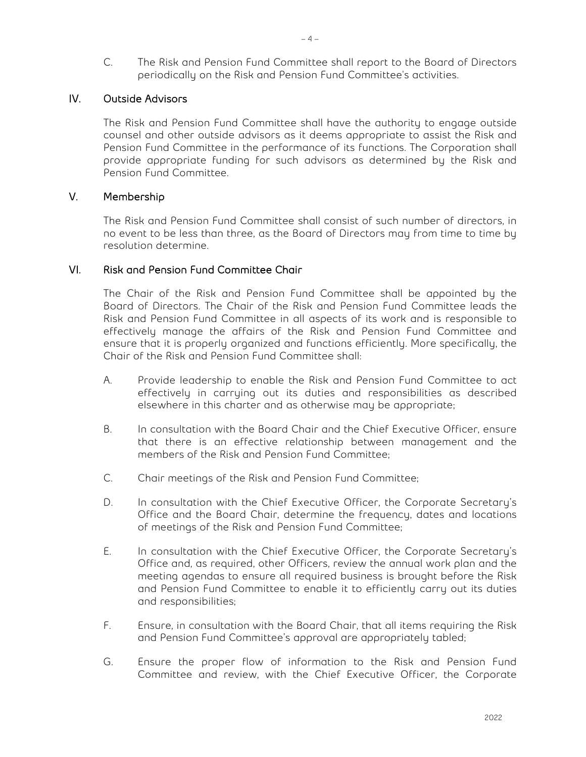C. The Risk and Pension Fund Committee shall report to the Board of Directors periodically on the Risk and Pension Fund Committee's activities.

#### IV. Outside Advisors

The Risk and Pension Fund Committee shall have the authority to engage outside counsel and other outside advisors as it deems appropriate to assist the Risk and Pension Fund Committee in the performance of its functions. The Corporation shall provide appropriate funding for such advisors as determined by the Risk and Pension Fund Committee.

#### V. Membership

The Risk and Pension Fund Committee shall consist of such number of directors, in no event to be less than three, as the Board of Directors may from time to time by resolution determine.

#### VI. Risk and Pension Fund Committee Chair

The Chair of the Risk and Pension Fund Committee shall be appointed by the Board of Directors. The Chair of the Risk and Pension Fund Committee leads the Risk and Pension Fund Committee in all aspects of its work and is responsible to effectively manage the affairs of the Risk and Pension Fund Committee and ensure that it is properly organized and functions efficiently. More specifically, the Chair of the Risk and Pension Fund Committee shall:

- A. Provide leadership to enable the Risk and Pension Fund Committee to act effectively in carrying out its duties and responsibilities as described elsewhere in this charter and as otherwise may be appropriate;
- B. In consultation with the Board Chair and the Chief Executive Officer, ensure that there is an effective relationship between management and the members of the Risk and Pension Fund Committee;
- C. Chair meetings of the Risk and Pension Fund Committee;
- D. In consultation with the Chief Executive Officer, the Corporate Secretary's Office and the Board Chair, determine the frequency, dates and locations of meetings of the Risk and Pension Fund Committee;
- E. In consultation with the Chief Executive Officer, the Corporate Secretary's Office and, as required, other Officers, review the annual work plan and the meeting agendas to ensure all required business is brought before the Risk and Pension Fund Committee to enable it to efficiently carry out its duties and responsibilities;
- F. Ensure, in consultation with the Board Chair, that all items requiring the Risk and Pension Fund Committee's approval are appropriately tabled;
- G. Ensure the proper flow of information to the Risk and Pension Fund Committee and review, with the Chief Executive Officer, the Corporate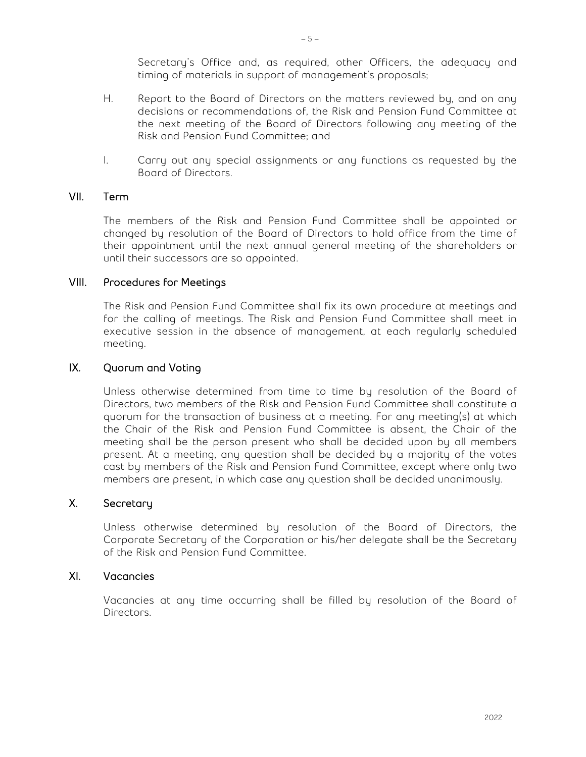Secretary's Office and, as required, other Officers, the adequacy and timing of materials in support of management's proposals;

- H. Report to the Board of Directors on the matters reviewed by, and on any decisions or recommendations of, the Risk and Pension Fund Committee at the next meeting of the Board of Directors following any meeting of the Risk and Pension Fund Committee; and
- I. Carry out any special assignments or any functions as requested by the Board of Directors.

#### VII. Term

The members of the Risk and Pension Fund Committee shall be appointed or changed by resolution of the Board of Directors to hold office from the time of their appointment until the next annual general meeting of the shareholders or until their successors are so appointed.

#### VIII. Procedures for Meetings

The Risk and Pension Fund Committee shall fix its own procedure at meetings and for the calling of meetings. The Risk and Pension Fund Committee shall meet in executive session in the absence of management, at each regularly scheduled meeting.

#### IX. Quorum and Voting

Unless otherwise determined from time to time by resolution of the Board of Directors, two members of the Risk and Pension Fund Committee shall constitute a quorum for the transaction of business at a meeting. For any meeting(s) at which the Chair of the Risk and Pension Fund Committee is absent, the Chair of the meeting shall be the person present who shall be decided upon by all members present. At a meeting, any question shall be decided by a majority of the votes cast by members of the Risk and Pension Fund Committee, except where only two members are present, in which case any question shall be decided unanimously.

#### X. Secretary

Unless otherwise determined by resolution of the Board of Directors, the Corporate Secretary of the Corporation or his/her delegate shall be the Secretary of the Risk and Pension Fund Committee.

#### XI. Vacancies

Vacancies at any time occurring shall be filled by resolution of the Board of Directors.